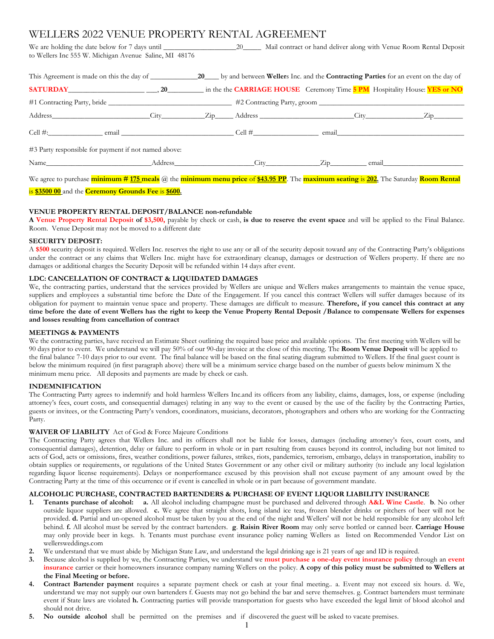# WELLERS 2022 VENUE PROPERTY RENTAL AGREEMENT

We are holding the date below for 7 days until \_\_\_\_\_\_\_\_\_\_\_\_\_\_\_\_\_\_\_\_\_\_\_\_\_\_\_\_\_\_\_\_\_\_ Mail contract or hand deliver along with Venue Room Rental Deposit to Wellers Inc 555 W. Michigan Avenue Saline, MI 48176

| <b>SATURDAY</b> 20 30 30 in the the CARRIAGE HOUSE Ceremony Time 5 PM Hospitality House: YES or NO |  |  |                                                                                                                                                                                                                               |
|----------------------------------------------------------------------------------------------------|--|--|-------------------------------------------------------------------------------------------------------------------------------------------------------------------------------------------------------------------------------|
|                                                                                                    |  |  |                                                                                                                                                                                                                               |
|                                                                                                    |  |  |                                                                                                                                                                                                                               |
|                                                                                                    |  |  | email email and the set of the set of the set of the set of the set of the set of the set of the set of the set of the set of the set of the set of the set of the set of the set of the set of the set of the set of the set |
| #3 Party responsible for payment if not named above:                                               |  |  |                                                                                                                                                                                                                               |
|                                                                                                    |  |  |                                                                                                                                                                                                                               |

We agree to purchase **minimum # 175 meals** @ the **minimum menu price** of **\$43.95 PP**. The **maximum seating** is **202.** The Saturday **Room Rental**

# is **\$3500 00** and the **Ceremony Grounds Fee** is **\$600.**

## **VENUE PROPERTY RENTAL DEPOSIT/BALANCE non-refundable**

**A Venue Property Rental Deposit of \$3,500,** payable by check or cash, **is due to reserve the event space** and will be applied to the Final Balance. Room. Venue Deposit may not be moved to a different date

#### **SECURITY DEPOSIT:**

A **\$500** security deposit is required. Wellers Inc. reserves the right to use any or all of the security deposit toward any of the Contracting Party's obligations under the contract or any claims that Wellers Inc. might have for extraordinary cleanup, damages or destruction of Wellers property. If there are no damages or additional charges the Security Deposit will be refunded within 14 days after event.

## **LDC: CANCELLATION OF CONTRACT & LIQUIDATED DAMAGES**

We, the contracting parties, understand that the services provided by Wellers are unique and Wellers makes arrangements to maintain the venue space, suppliers and employees a substantial time before the Date of the Engagement. If you cancel this contract Wellers will suffer damages because of its obligation for payment to maintain venue space and property. These damages are difficult to measure. **Therefore, if you cancel this contract at any time before the date of event Wellers has the right to keep the Venue Property Rental Deposit /Balance to compensate Wellers for expenses and losses resulting from cancellation of contract**

## **MEETINGS & PAYMENTS**

We the contracting parties, have received an Estimate Sheet outlining the required base price and available options. The first meeting with Wellers will be 90 days prior to event. We understand we will pay 50% of our 90-day invoice at the close of this meeting. The **Room Venue Deposit** will be applied to the final balance 7-10 days prior to our event. The final balance will be based on the final seating diagram submitted to Wellers. If the final guest count is below the minimum required (in first paragraph above) there will be a minimum service charge based on the number of guests below minimum X the minimum menu price. All deposits and payments are made by check or cash.

## **INDEMNIFICATION**

The Contracting Party agrees to indemnify and hold harmless Wellers Inc.and its officers from any liability, claims, damages, loss, or expense (including attorney's fees, court costs, and consequential damages) relating in any way to the event or caused by the use of the facility by the Contracting Parties, guests or invitees, or the Contracting Party's vendors, coordinators, musicians, decorators, photographers and others who are working for the Contracting Party.

## **WAIVER OF LIABILITY** Act of God & Force Majeure Conditions

The Contracting Party agrees that Wellers Inc. and its officers shall not be liable for losses, damages (including attorney's fees, court costs, and consequential damages), detention, delay or failure to perform in whole or in part resulting from causes beyond its control, including but not limited to acts of God, acts or omissions, fires, weather conditions, power failures, strikes, riots, pandemics, terrorism, embargo, delays in transportation, inability to obtain supplies or requirements, or regulations of the United States Government or any other civil or military authority (to include any local legislation regarding liquor license requirements). Delays or nonperformance excused by this provision shall not excuse payment of any amount owed by the Contracting Party at the time of this occurrence or if event is cancelled in whole or in part because of government mandate.

## **ALCOHOLIC PURCHASE, CONTRACTED BARTENDERS & PURCHASE OF EVENT LIQUOR LIABILITY INSURANCE**

- **1. Tenants purchase of alcohol: a.** All alcohol including champagne must be purchased and delivered through **A&L Wine Castle**. **b**. No other outside liquor suppliers are allowed. **c.** We agree that straight shots, long island ice teas, frozen blender drinks or pitchers of beer will not be provided. **d.** Partial and un-opened alcohol must be taken by you at the end of the night and Wellers' will not be held responsible for any alcohol left behind. **f.** All alcohol must be served by the contract bartenders. **g**. **Raisin River Room** may only serve bottled or canned beer. **Carriage House** may only provide beer in kegs. h. Tenants must purchase event insurance policy naming Wellers as listed on Recommended Vendor List on wellersweddings.com
- **2.** We understand that we must abide by Michigan State Law, and understand the legal drinking age is 21 years of age and ID is required.
- **3.** Because alcohol is supplied by we, the Contracting Parties, we understand we **must purchase a one-day event insurance policy** through an **event insurance** carrier or their homeowners insurance company naming Wellers on the policy. **A copy of this policy must be submitted to Wellers at the Final Meeting or before.**
- **4. Contract Bartender payment** requires a separate payment check or cash at your final meeting.. a. Event may not exceed six hours. d. We, understand we may not supply our own bartenders f. Guests may not go behind the bar and serve themselves. g. Contract bartenders must terminate event if State laws are violated **h.** Contracting parties will provide transportation for guests who have exceeded the legal limit of blood alcohol and should not drive.
- **5. No outside alcohol** shall be permitted on the premises and if discovered the guest will be asked to vacate premises.